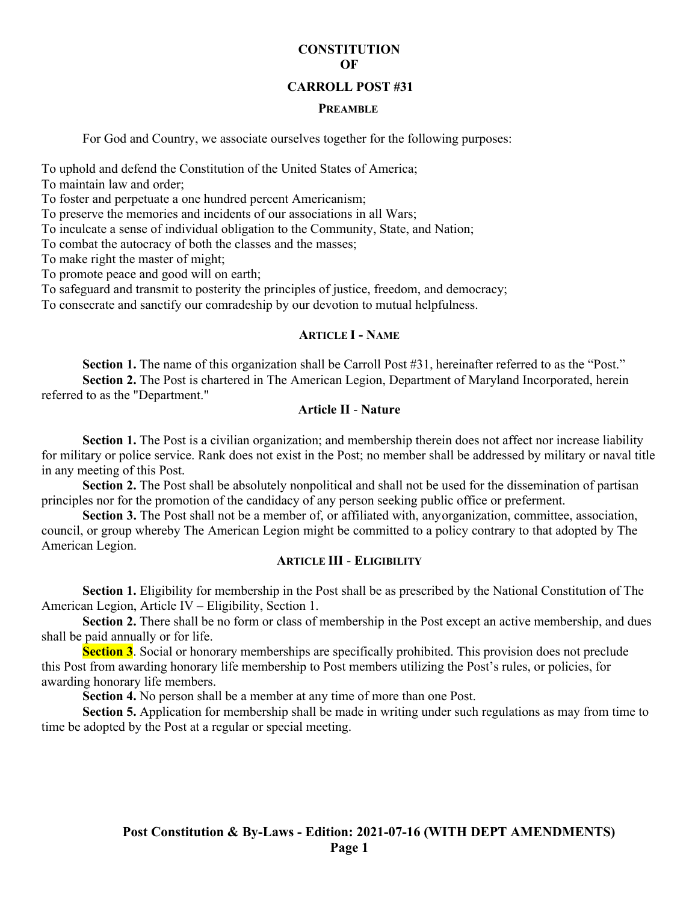# **CONSTITUTION OF**

### **CARROLL POST #31**

#### **PREAMBLE**

For God and Country, we associate ourselves together for the following purposes:

To uphold and defend the Constitution of the United States of America;

To maintain law and order;

To foster and perpetuate a one hundred percent Americanism;

To preserve the memories and incidents of our associations in all Wars;

To inculcate a sense of individual obligation to the Community, State, and Nation;

To combat the autocracy of both the classes and the masses;

To make right the master of might;

To promote peace and good will on earth;

To safeguard and transmit to posterity the principles of justice, freedom, and democracy;

To consecrate and sanctify our comradeship by our devotion to mutual helpfulness.

### **ARTICLE I - NAME**

**Section 1.** The name of this organization shall be Carroll Post #31, hereinafter referred to as the "Post." **Section 2.** The Post is chartered in The American Legion, Department of Maryland Incorporated, herein referred to as the "Department."

# **Article II** - **Nature**

Section 1. The Post is a civilian organization; and membership therein does not affect nor increase liability for military or police service. Rank does not exist in the Post; no member shall be addressed by military or naval title in any meeting of this Post.

**Section 2.** The Post shall be absolutely nonpolitical and shall not be used for the dissemination of partisan principles nor for the promotion of the candidacy of any person seeking public office or preferment.

**Section 3.** The Post shall not be a member of, or affiliated with, anyorganization, committee, association, council, or group whereby The American Legion might be committed to a policy contrary to that adopted by The American Legion.

## **ARTICLE III** - **ELIGIBILITY**

**Section 1.** Eligibility for membership in the Post shall be as prescribed by the National Constitution of The American Legion, Article IV – Eligibility, Section 1.

**Section 2.** There shall be no form or class of membership in the Post except an active membership, and dues shall be paid annually or for life.

**Section 3**. Social or honorary memberships are specifically prohibited. This provision does not preclude this Post from awarding honorary life membership to Post members utilizing the Post's rules, or policies, for awarding honorary life members.

**Section 4.** No person shall be a member at any time of more than one Post.

**Section 5.** Application for membership shall be made in writing under such regulations as may from time to time be adopted by the Post at a regular or special meeting.

# **Post Constitution & By-Laws - Edition: 2021-07-16 (WITH DEPT AMENDMENTS) Page 1**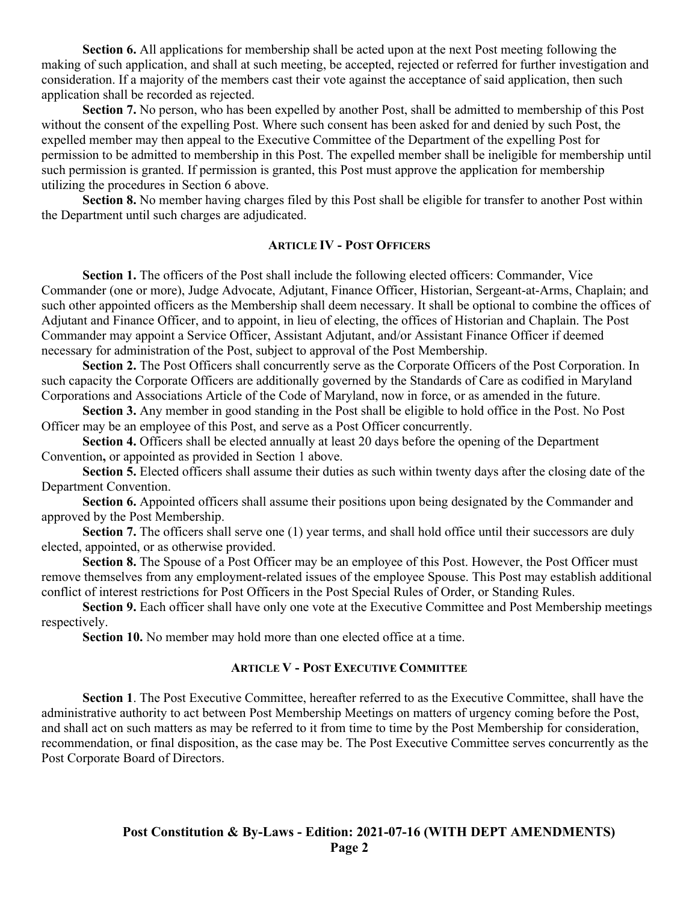**Section 6.** All applications for membership shall be acted upon at the next Post meeting following the making of such application, and shall at such meeting, be accepted, rejected or referred for further investigation and consideration. If a majority of the members cast their vote against the acceptance of said application, then such application shall be recorded as rejected.

**Section 7.** No person, who has been expelled by another Post, shall be admitted to membership of this Post without the consent of the expelling Post. Where such consent has been asked for and denied by such Post, the expelled member may then appeal to the Executive Committee of the Department of the expelling Post for permission to be admitted to membership in this Post. The expelled member shall be ineligible for membership until such permission is granted. If permission is granted, this Post must approve the application for membership utilizing the procedures in Section 6 above.

**Section 8.** No member having charges filed by this Post shall be eligible for transfer to another Post within the Department until such charges are adjudicated.

## **ARTICLE IV - POST OFFICERS**

Section 1. The officers of the Post shall include the following elected officers: Commander, Vice Commander (one or more), Judge Advocate, Adjutant, Finance Officer, Historian, Sergeant-at-Arms, Chaplain; and such other appointed officers as the Membership shall deem necessary. It shall be optional to combine the offices of Adjutant and Finance Officer, and to appoint, in lieu of electing, the offices of Historian and Chaplain. The Post Commander may appoint a Service Officer, Assistant Adjutant, and/or Assistant Finance Officer if deemed necessary for administration of the Post, subject to approval of the Post Membership.

**Section 2.** The Post Officers shall concurrently serve as the Corporate Officers of the Post Corporation. In such capacity the Corporate Officers are additionally governed by the Standards of Care as codified in Maryland Corporations and Associations Article of the Code of Maryland, now in force, or as amended in the future.

**Section 3.** Any member in good standing in the Post shall be eligible to hold office in the Post. No Post Officer may be an employee of this Post, and serve as a Post Officer concurrently.

**Section 4.** Officers shall be elected annually at least 20 days before the opening of the Department Convention**,** or appointed as provided in Section 1 above.

**Section 5.** Elected officers shall assume their duties as such within twenty days after the closing date of the Department Convention.

**Section 6.** Appointed officers shall assume their positions upon being designated by the Commander and approved by the Post Membership.

**Section 7.** The officers shall serve one (1) year terms, and shall hold office until their successors are duly elected, appointed, or as otherwise provided.

**Section 8.** The Spouse of a Post Officer may be an employee of this Post. However, the Post Officer must remove themselves from any employment-related issues of the employee Spouse. This Post may establish additional conflict of interest restrictions for Post Officers in the Post Special Rules of Order, or Standing Rules.

Section 9. Each officer shall have only one vote at the Executive Committee and Post Membership meetings respectively.

**Section 10.** No member may hold more than one elected office at a time.

### **ARTICLE V - POST EXECUTIVE COMMITTEE**

**Section 1**. The Post Executive Committee, hereafter referred to as the Executive Committee, shall have the administrative authority to act between Post Membership Meetings on matters of urgency coming before the Post, and shall act on such matters as may be referred to it from time to time by the Post Membership for consideration, recommendation, or final disposition, as the case may be. The Post Executive Committee serves concurrently as the Post Corporate Board of Directors.

> **Post Constitution & By-Laws - Edition: 2021-07-16 (WITH DEPT AMENDMENTS) Page 2**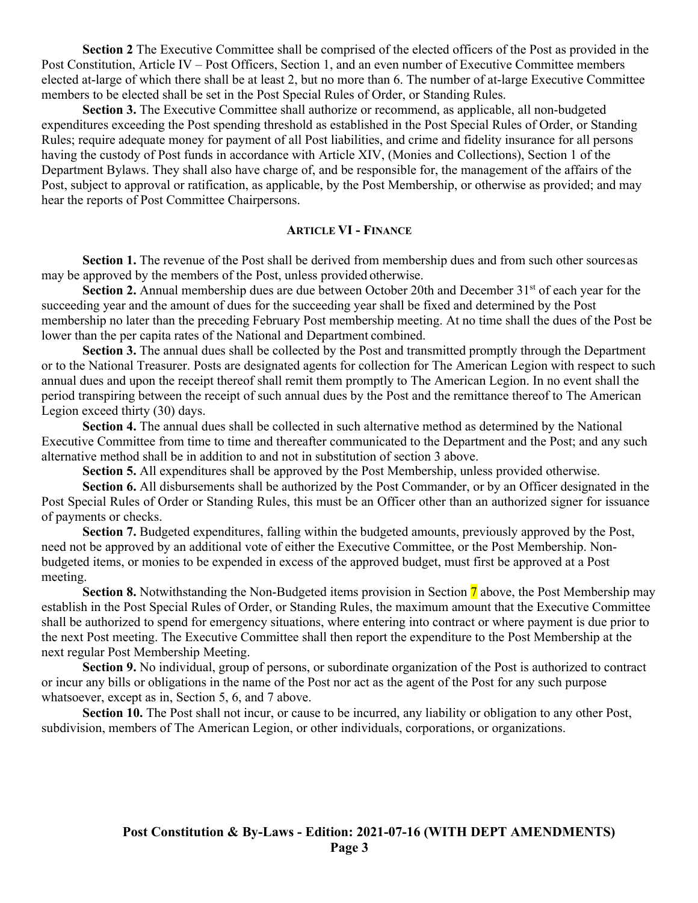**Section 2** The Executive Committee shall be comprised of the elected officers of the Post as provided in the Post Constitution, Article IV – Post Officers, Section 1, and an even number of Executive Committee members elected at-large of which there shall be at least 2, but no more than 6. The number of at-large Executive Committee members to be elected shall be set in the Post Special Rules of Order, or Standing Rules.

**Section 3.** The Executive Committee shall authorize or recommend, as applicable, all non-budgeted expenditures exceeding the Post spending threshold as established in the Post Special Rules of Order, or Standing Rules; require adequate money for payment of all Post liabilities, and crime and fidelity insurance for all persons having the custody of Post funds in accordance with Article XIV, (Monies and Collections), Section 1 of the Department Bylaws. They shall also have charge of, and be responsible for, the management of the affairs of the Post, subject to approval or ratification, as applicable, by the Post Membership, or otherwise as provided; and may hear the reports of Post Committee Chairpersons.

### **ARTICLE VI - FINANCE**

**Section 1.** The revenue of the Post shall be derived from membership dues and from such other sources as may be approved by the members of the Post, unless provided otherwise.

**Section 2.** Annual membership dues are due between October 20th and December 31<sup>st</sup> of each year for the succeeding year and the amount of dues for the succeeding year shall be fixed and determined by the Post membership no later than the preceding February Post membership meeting. At no time shall the dues of the Post be lower than the per capita rates of the National and Department combined.

**Section 3.** The annual dues shall be collected by the Post and transmitted promptly through the Department or to the National Treasurer. Posts are designated agents for collection for The American Legion with respect to such annual dues and upon the receipt thereof shall remit them promptly to The American Legion. In no event shall the period transpiring between the receipt of such annual dues by the Post and the remittance thereof to The American Legion exceed thirty (30) days.

**Section 4.** The annual dues shall be collected in such alternative method as determined by the National Executive Committee from time to time and thereafter communicated to the Department and the Post; and any such alternative method shall be in addition to and not in substitution of section 3 above.

**Section 5.** All expenditures shall be approved by the Post Membership, unless provided otherwise.

**Section 6.** All disbursements shall be authorized by the Post Commander, or by an Officer designated in the Post Special Rules of Order or Standing Rules, this must be an Officer other than an authorized signer for issuance of payments or checks.

**Section 7.** Budgeted expenditures, falling within the budgeted amounts, previously approved by the Post, need not be approved by an additional vote of either the Executive Committee, or the Post Membership. Nonbudgeted items, or monies to be expended in excess of the approved budget, must first be approved at a Post meeting.

**Section 8.** Notwithstanding the Non-Budgeted items provision in Section 7 above, the Post Membership may establish in the Post Special Rules of Order, or Standing Rules, the maximum amount that the Executive Committee shall be authorized to spend for emergency situations, where entering into contract or where payment is due prior to the next Post meeting. The Executive Committee shall then report the expenditure to the Post Membership at the next regular Post Membership Meeting.

**Section 9.** No individual, group of persons, or subordinate organization of the Post is authorized to contract or incur any bills or obligations in the name of the Post nor act as the agent of the Post for any such purpose whatsoever, except as in, Section 5, 6, and 7 above.

Section 10. The Post shall not incur, or cause to be incurred, any liability or obligation to any other Post, subdivision, members of The American Legion, or other individuals, corporations, or organizations.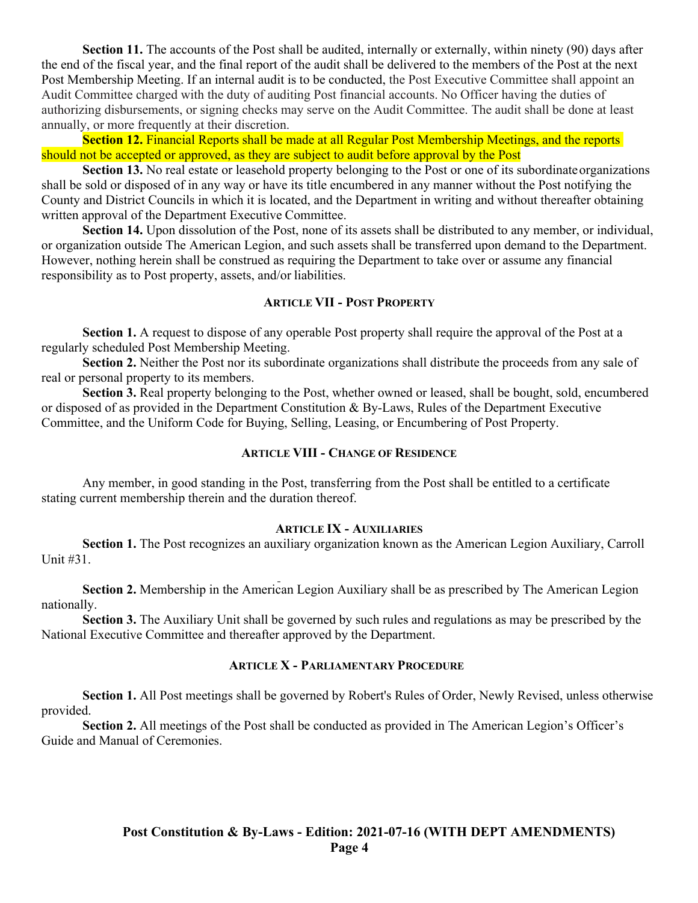Section 11. The accounts of the Post shall be audited, internally or externally, within ninety (90) days after the end of the fiscal year, and the final report of the audit shall be delivered to the members of the Post at the next Post Membership Meeting. If an internal audit is to be conducted, the Post Executive Committee shall appoint an Audit Committee charged with the duty of auditing Post financial accounts. No Officer having the duties of authorizing disbursements, or signing checks may serve on the Audit Committee. The audit shall be done at least annually, or more frequently at their discretion.

**Section 12.** Financial Reports shall be made at all Regular Post Membership Meetings, and the reports should not be accepted or approved, as they are subject to audit before approval by the Post

**Section 13.** No real estate or leasehold property belonging to the Post or one of its subordinate organizations shall be sold or disposed of in any way or have its title encumbered in any manner without the Post notifying the County and District Councils in which it is located, and the Department in writing and without thereafter obtaining written approval of the Department Executive Committee.

**Section 14.** Upon dissolution of the Post, none of its assets shall be distributed to any member, or individual, or organization outside The American Legion, and such assets shall be transferred upon demand to the Department. However, nothing herein shall be construed as requiring the Department to take over or assume any financial responsibility as to Post property, assets, and/or liabilities.

### **ARTICLE VII - POST PROPERTY**

**Section 1.** A request to dispose of any operable Post property shall require the approval of the Post at a regularly scheduled Post Membership Meeting.

**Section 2.** Neither the Post nor its subordinate organizations shall distribute the proceeds from any sale of real or personal property to its members.

**Section 3.** Real property belonging to the Post, whether owned or leased, shall be bought, sold, encumbered or disposed of as provided in the Department Constitution & By-Laws, Rules of the Department Executive Committee, and the Uniform Code for Buying, Selling, Leasing, or Encumbering of Post Property.

#### **ARTICLE VIII - CHANGE OF RESIDENCE**

Any member, in good standing in the Post, transferring from the Post shall be entitled to a certificate stating current membership therein and the duration thereof.

#### **ARTICLE IX - AUXILIARIES**

**Section 1.** The Post recognizes an auxiliary organization known as the American Legion Auxiliary, Carroll Unit #31.

**Section 2.** Membership in the American Legion Auxiliary shall be as prescribed by The American Legion nationally.

**Section 3.** The Auxiliary Unit shall be governed by such rules and regulations as may be prescribed by the National Executive Committee and thereafter approved by the Department.

## **ARTICLE X - PARLIAMENTARY PROCEDURE**

**Section 1.** All Post meetings shall be governed by Robert's Rules of Order, Newly Revised, unless otherwise provided.

**Section 2.** All meetings of the Post shall be conducted as provided in The American Legion's Officer's Guide and Manual of Ceremonies.

# **Post Constitution & By-Laws - Edition: 2021-07-16 (WITH DEPT AMENDMENTS) Page 4**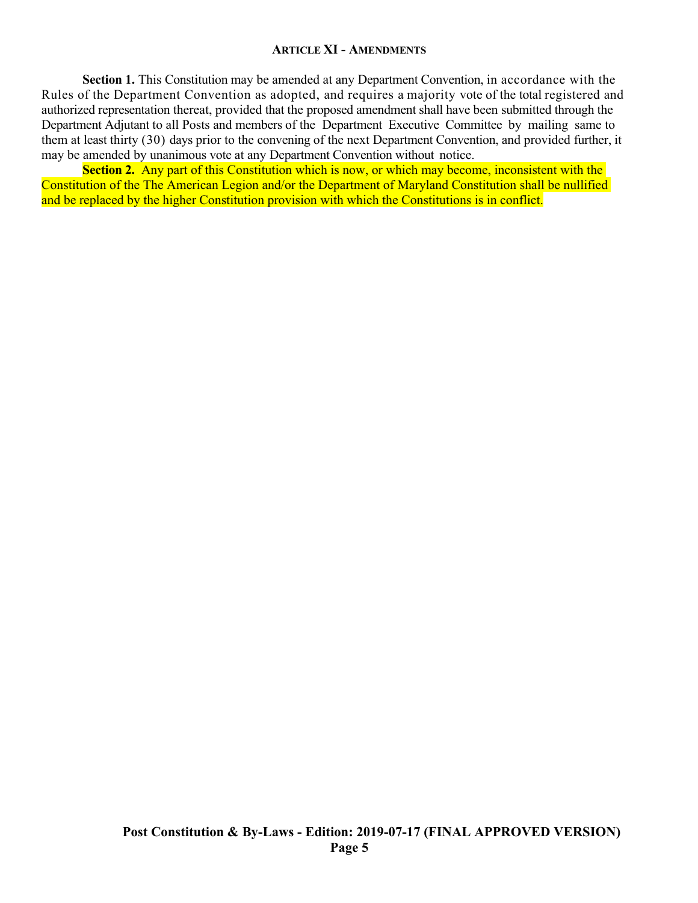### **ARTICLE XI - AMENDMENTS**

**Section 1.** This Constitution may be amended at any Department Convention, in accordance with the Rules of the Department Convention as adopted, and requires a majority vote of the total registered and authorized representation thereat, provided that the proposed amendment shall have been submitted through the Department Adjutant to all Posts and members of the Department Executive Committee by mailing same to them at least thirty (30) days prior to the convening of the next Department Convention, and provided further, it may be amended by unanimous vote at any Department Convention without notice.

**Section 2.** Any part of this Constitution which is now, or which may become, inconsistent with the Constitution of the The American Legion and/or the Department of Maryland Constitution shall be nullified and be replaced by the higher Constitution provision with which the Constitutions is in conflict.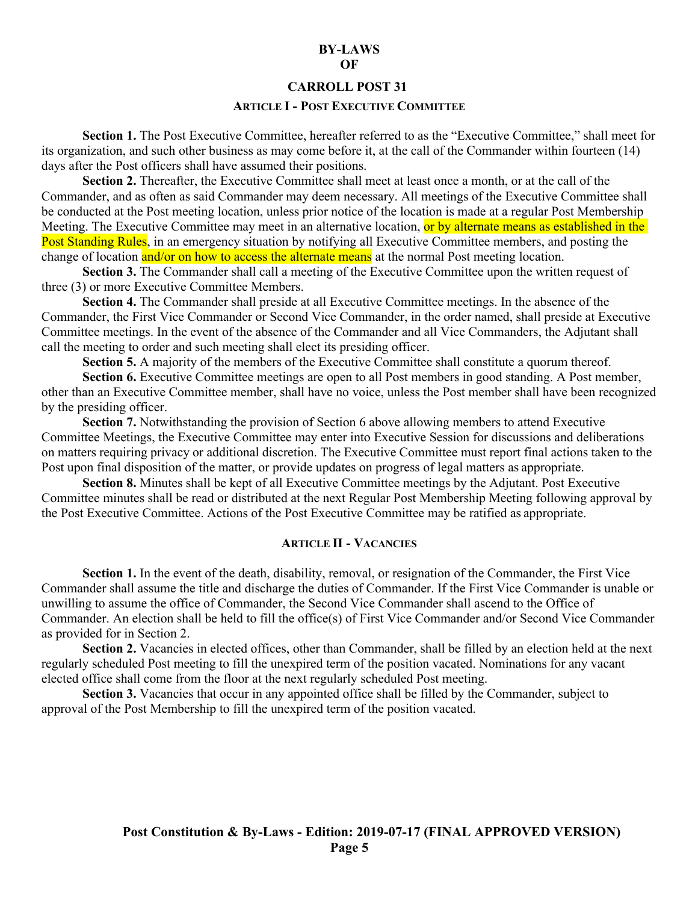#### **BY-LAWS OF**

#### **CARROLL POST 31**

### **ARTICLE I - POST EXECUTIVE COMMITTEE**

**Section 1.** The Post Executive Committee, hereafter referred to as the "Executive Committee," shall meet for its organization, and such other business as may come before it, at the call of the Commander within fourteen (14) days after the Post officers shall have assumed their positions.

Section 2. Thereafter, the Executive Committee shall meet at least once a month, or at the call of the Commander, and as often as said Commander may deem necessary. All meetings of the Executive Committee shall be conducted at the Post meeting location, unless prior notice of the location is made at a regular Post Membership Meeting. The Executive Committee may meet in an alternative location, or by alternate means as established in the Post Standing Rules, in an emergency situation by notifying all Executive Committee members, and posting the change of location and/or on how to access the alternate means at the normal Post meeting location.

**Section 3.** The Commander shall call a meeting of the Executive Committee upon the written request of three (3) or more Executive Committee Members.

**Section 4.** The Commander shall preside at all Executive Committee meetings. In the absence of the Commander, the First Vice Commander or Second Vice Commander, in the order named, shall preside at Executive Committee meetings. In the event of the absence of the Commander and all Vice Commanders, the Adjutant shall call the meeting to order and such meeting shall elect its presiding officer.

**Section 5.** A majority of the members of the Executive Committee shall constitute a quorum thereof.

**Section 6.** Executive Committee meetings are open to all Post members in good standing. A Post member, other than an Executive Committee member, shall have no voice, unless the Post member shall have been recognized by the presiding officer.

**Section 7.** Notwithstanding the provision of Section 6 above allowing members to attend Executive Committee Meetings, the Executive Committee may enter into Executive Session for discussions and deliberations on matters requiring privacy or additional discretion. The Executive Committee must report final actions taken to the Post upon final disposition of the matter, or provide updates on progress of legal matters as appropriate.

**Section 8.** Minutes shall be kept of all Executive Committee meetings by the Adjutant. Post Executive Committee minutes shall be read or distributed at the next Regular Post Membership Meeting following approval by the Post Executive Committee. Actions of the Post Executive Committee may be ratified as appropriate.

#### **ARTICLE II - VACANCIES**

**Section 1.** In the event of the death, disability, removal, or resignation of the Commander, the First Vice Commander shall assume the title and discharge the duties of Commander. If the First Vice Commander is unable or unwilling to assume the office of Commander, the Second Vice Commander shall ascend to the Office of Commander. An election shall be held to fill the office(s) of First Vice Commander and/or Second Vice Commander as provided for in Section 2.

Section 2. Vacancies in elected offices, other than Commander, shall be filled by an election held at the next regularly scheduled Post meeting to fill the unexpired term of the position vacated. Nominations for any vacant elected office shall come from the floor at the next regularly scheduled Post meeting.

Section 3. Vacancies that occur in any appointed office shall be filled by the Commander, subject to approval of the Post Membership to fill the unexpired term of the position vacated.

# **Post Constitution & By-Laws - Edition: 2019-07-17 (FINAL APPROVED VERSION) Page 5**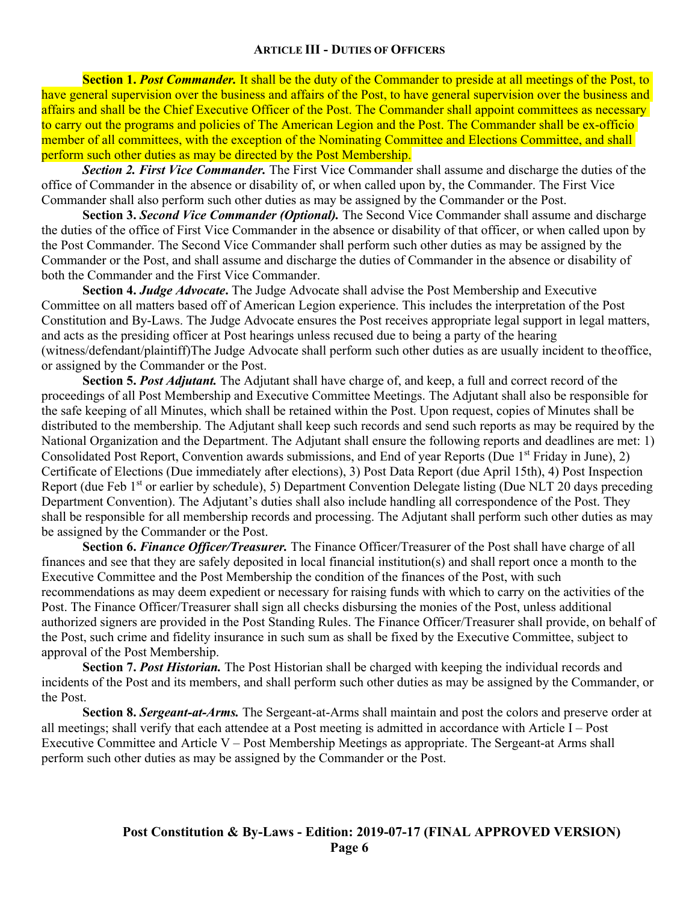**Section 1. Post Commander.** It shall be the duty of the Commander to preside at all meetings of the Post, to have general supervision over the business and affairs of the Post, to have general supervision over the business and affairs and shall be the Chief Executive Officer of the Post. The Commander shall appoint committees as necessary to carry out the programs and policies of The American Legion and the Post. The Commander shall be ex-officio member of all committees, with the exception of the Nominating Committee and Elections Committee, and shall perform such other duties as may be directed by the Post Membership.

*Section 2. First Vice Commander.* The First Vice Commander shall assume and discharge the duties of the office of Commander in the absence or disability of, or when called upon by, the Commander. The First Vice Commander shall also perform such other duties as may be assigned by the Commander or the Post.

**Section 3.** *Second Vice Commander (Optional).* The Second Vice Commander shall assume and discharge the duties of the office of First Vice Commander in the absence or disability of that officer, or when called upon by the Post Commander. The Second Vice Commander shall perform such other duties as may be assigned by the Commander or the Post, and shall assume and discharge the duties of Commander in the absence or disability of both the Commander and the First Vice Commander.

**Section 4.** *Judge Advocate***.** The Judge Advocate shall advise the Post Membership and Executive Committee on all matters based off of American Legion experience. This includes the interpretation of the Post Constitution and By-Laws. The Judge Advocate ensures the Post receives appropriate legal support in legal matters, and acts as the presiding officer at Post hearings unless recused due to being a party of the hearing (witness/defendant/plaintiff)The Judge Advocate shall perform such other duties as are usually incident to theoffice, or assigned by the Commander or the Post.

**Section 5.** *Post Adjutant.* The Adjutant shall have charge of, and keep, a full and correct record of the proceedings of all Post Membership and Executive Committee Meetings. The Adjutant shall also be responsible for the safe keeping of all Minutes, which shall be retained within the Post. Upon request, copies of Minutes shall be distributed to the membership. The Adjutant shall keep such records and send such reports as may be required by the National Organization and the Department. The Adjutant shall ensure the following reports and deadlines are met: 1) Consolidated Post Report, Convention awards submissions, and End of year Reports (Due 1<sup>st</sup> Friday in June), 2) Certificate of Elections (Due immediately after elections), 3) Post Data Report (due April 15th), 4) Post Inspection Report (due Feb 1<sup>st</sup> or earlier by schedule), 5) Department Convention Delegate listing (Due NLT 20 days preceding Department Convention). The Adjutant's duties shall also include handling all correspondence of the Post. They shall be responsible for all membership records and processing. The Adjutant shall perform such other duties as may be assigned by the Commander or the Post.

**Section 6.** *Finance Officer/Treasurer.* The Finance Officer/Treasurer of the Post shall have charge of all finances and see that they are safely deposited in local financial institution(s) and shall report once a month to the Executive Committee and the Post Membership the condition of the finances of the Post, with such recommendations as may deem expedient or necessary for raising funds with which to carry on the activities of the Post. The Finance Officer/Treasurer shall sign all checks disbursing the monies of the Post, unless additional authorized signers are provided in the Post Standing Rules. The Finance Officer/Treasurer shall provide, on behalf of the Post, such crime and fidelity insurance in such sum as shall be fixed by the Executive Committee, subject to approval of the Post Membership.

**Section 7. Post Historian.** The Post Historian shall be charged with keeping the individual records and incidents of the Post and its members, and shall perform such other duties as may be assigned by the Commander, or the Post.

**Section 8.** *Sergeant-at-Arms.* The Sergeant-at-Arms shall maintain and post the colors and preserve order at all meetings; shall verify that each attendee at a Post meeting is admitted in accordance with Article I – Post Executive Committee and Article V – Post Membership Meetings as appropriate. The Sergeant-at Arms shall perform such other duties as may be assigned by the Commander or the Post.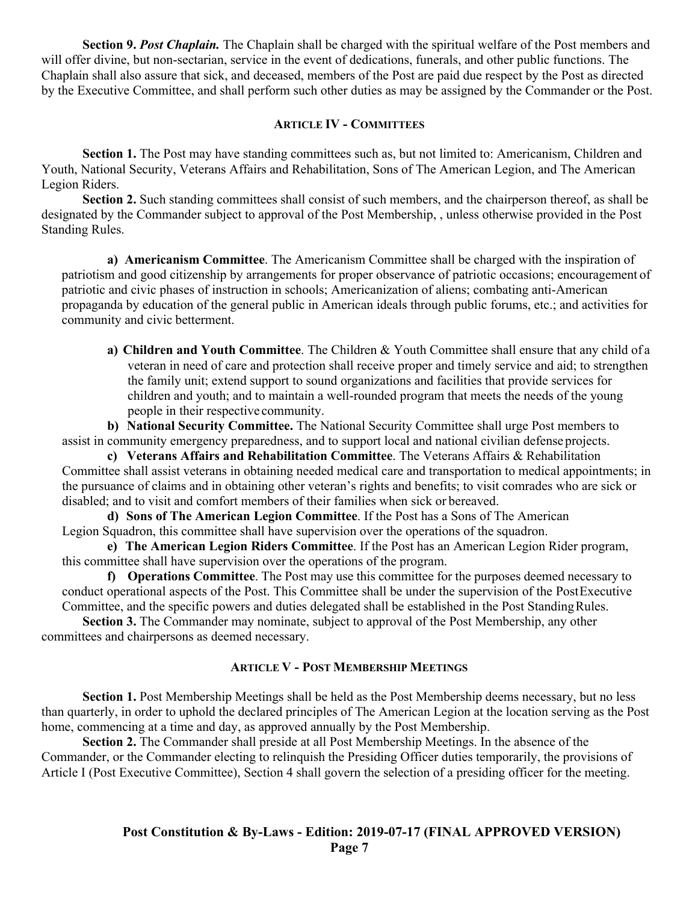**Section 9.** *Post Chaplain.* The Chaplain shall be charged with the spiritual welfare of the Post members and will offer divine, but non-sectarian, service in the event of dedications, funerals, and other public functions. The Chaplain shall also assure that sick, and deceased, members of the Post are paid due respect by the Post as directed by the Executive Committee, and shall perform such other duties as may be assigned by the Commander or the Post.

### **ARTICLE IV - COMMITTEES**

**Section 1.** The Post may have standing committees such as, but not limited to: Americanism, Children and Youth, National Security, Veterans Affairs and Rehabilitation, Sons of The American Legion, and The American Legion Riders.

**Section 2.** Such standing committees shall consist of such members, and the chairperson thereof, as shall be designated by the Commander subject to approval of the Post Membership, , unless otherwise provided in the Post Standing Rules.

**a) Americanism Committee**. The Americanism Committee shall be charged with the inspiration of patriotism and good citizenship by arrangements for proper observance of patriotic occasions; encouragement of patriotic and civic phases of instruction in schools; Americanization of aliens; combating anti-American propaganda by education of the general public in American ideals through public forums, etc.; and activities for community and civic betterment.

**a) Children and Youth Committee**. The Children & Youth Committee shall ensure that any child of a veteran in need of care and protection shall receive proper and timely service and aid; to strengthen the family unit; extend support to sound organizations and facilities that provide services for children and youth; and to maintain a well-rounded program that meets the needs of the young people in their respective community.

**b) National Security Committee.** The National Security Committee shall urge Post members to assist in community emergency preparedness, and to support local and national civilian defense projects.

**c) Veterans Affairs and Rehabilitation Committee**. The Veterans Affairs & Rehabilitation Committee shall assist veterans in obtaining needed medical care and transportation to medical appointments; in the pursuance of claims and in obtaining other veteran's rights and benefits; to visit comrades who are sick or disabled; and to visit and comfort members of their families when sick or bereaved.

**d) Sons of The American Legion Committee**. If the Post has a Sons of The American Legion Squadron, this committee shall have supervision over the operations of the squadron.

**e) The American Legion Riders Committee**. If the Post has an American Legion Rider program, this committee shall have supervision over the operations of the program.

**f) Operations Committee**. The Post may use this committee for the purposes deemed necessary to conduct operational aspects of the Post. This Committee shall be under the supervision of the PostExecutive Committee, and the specific powers and duties delegated shall be established in the Post StandingRules.

**Section 3.** The Commander may nominate, subject to approval of the Post Membership, any other committees and chairpersons as deemed necessary.

# **ARTICLE V - POST MEMBERSHIP MEETINGS**

**Section 1.** Post Membership Meetings shall be held as the Post Membership deems necessary, but no less than quarterly, in order to uphold the declared principles of The American Legion at the location serving as the Post home, commencing at a time and day, as approved annually by the Post Membership.

**Section 2.** The Commander shall preside at all Post Membership Meetings. In the absence of the Commander, or the Commander electing to relinquish the Presiding Officer duties temporarily, the provisions of Article I (Post Executive Committee), Section 4 shall govern the selection of a presiding officer for the meeting.

# **Post Constitution & By-Laws - Edition: 2019-07-17 (FINAL APPROVED VERSION) Page 7**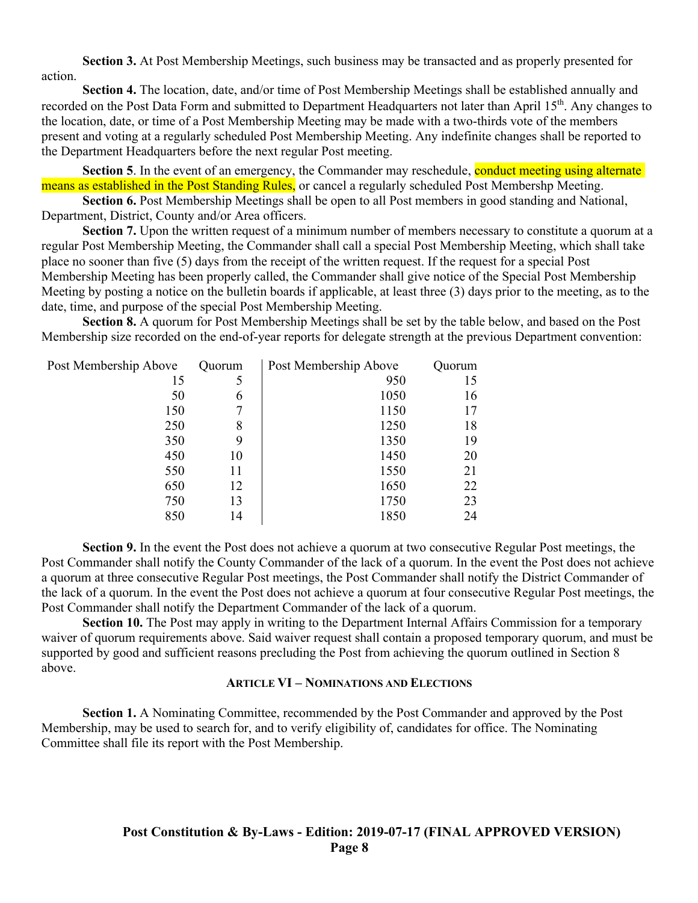**Section 3.** At Post Membership Meetings, such business may be transacted and as properly presented for action.

**Section 4.** The location, date, and/or time of Post Membership Meetings shall be established annually and recorded on the Post Data Form and submitted to Department Headquarters not later than April 15<sup>th</sup>. Any changes to the location, date, or time of a Post Membership Meeting may be made with a two-thirds vote of the members present and voting at a regularly scheduled Post Membership Meeting. Any indefinite changes shall be reported to the Department Headquarters before the next regular Post meeting.

**Section 5.** In the event of an emergency, the Commander may reschedule, conduct meeting using alternate means as established in the Post Standing Rules, or cancel a regularly scheduled Post Membershp Meeting.

**Section 6.** Post Membership Meetings shall be open to all Post members in good standing and National, Department, District, County and/or Area officers.

**Section 7.** Upon the written request of a minimum number of members necessary to constitute a quorum at a regular Post Membership Meeting, the Commander shall call a special Post Membership Meeting, which shall take place no sooner than five (5) days from the receipt of the written request. If the request for a special Post Membership Meeting has been properly called, the Commander shall give notice of the Special Post Membership Meeting by posting a notice on the bulletin boards if applicable, at least three (3) days prior to the meeting, as to the date, time, and purpose of the special Post Membership Meeting.

**Section 8.** A quorum for Post Membership Meetings shall be set by the table below, and based on the Post Membership size recorded on the end-of-year reports for delegate strength at the previous Department convention:

| Post Membership Above | Quorum | Post Membership Above | Quorum |
|-----------------------|--------|-----------------------|--------|
| 15                    | 5      | 950                   | 15     |
| 50                    | 6      | 1050                  | 16     |
| 150                   | 7      | 1150                  | 17     |
| 250                   | 8      | 1250                  | 18     |
| 350                   | 9      | 1350                  | 19     |
| 450                   | 10     | 1450                  | 20     |
| 550                   | 11     | 1550                  | 21     |
| 650                   | 12     | 1650                  | 22     |
| 750                   | 13     | 1750                  | 23     |
| 850                   | 14     | 1850                  | 24     |

**Section 9.** In the event the Post does not achieve a quorum at two consecutive Regular Post meetings, the Post Commander shall notify the County Commander of the lack of a quorum. In the event the Post does not achieve a quorum at three consecutive Regular Post meetings, the Post Commander shall notify the District Commander of the lack of a quorum. In the event the Post does not achieve a quorum at four consecutive Regular Post meetings, the Post Commander shall notify the Department Commander of the lack of a quorum.

**Section 10.** The Post may apply in writing to the Department Internal Affairs Commission for a temporary waiver of quorum requirements above. Said waiver request shall contain a proposed temporary quorum, and must be supported by good and sufficient reasons precluding the Post from achieving the quorum outlined in Section 8 above.

### **ARTICLE VI – NOMINATIONS AND ELECTIONS**

**Section 1.** A Nominating Committee, recommended by the Post Commander and approved by the Post Membership, may be used to search for, and to verify eligibility of, candidates for office. The Nominating Committee shall file its report with the Post Membership.

# **Post Constitution & By-Laws - Edition: 2019-07-17 (FINAL APPROVED VERSION) Page 8**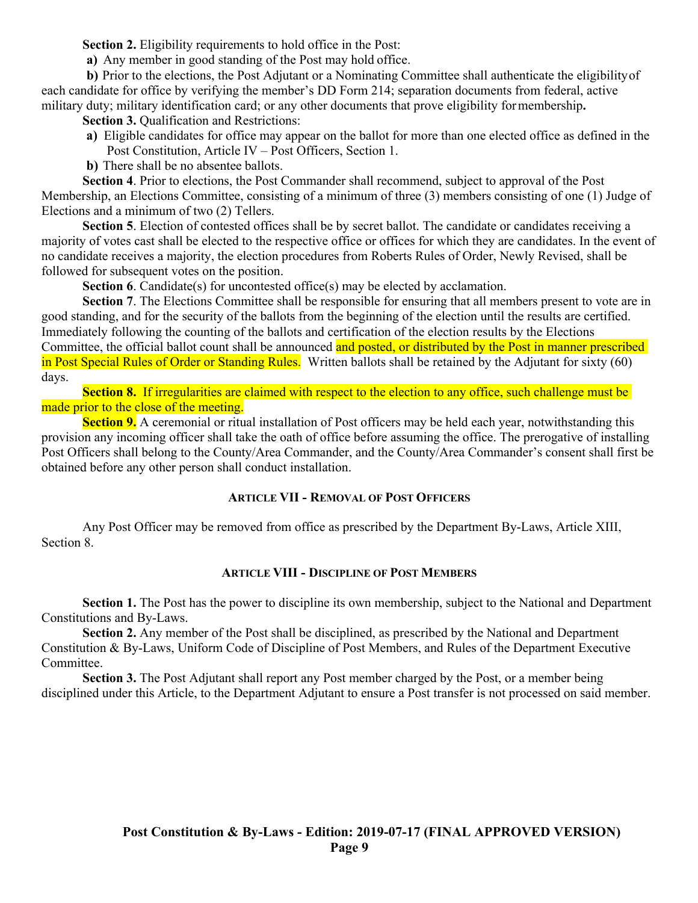**Section 2.** Eligibility requirements to hold office in the Post:

**a)** Any member in good standing of the Post may hold office.

**b)** Prior to the elections, the Post Adjutant or a Nominating Committee shall authenticate the eligibilityof each candidate for office by verifying the member's DD Form 214; separation documents from federal, active military duty; military identification card; or any other documents that prove eligibility formembership**.**

**Section 3.** Oualification and Restrictions:

**a)** Eligible candidates for office may appear on the ballot for more than one elected office as defined in the Post Constitution, Article IV – Post Officers, Section 1.

**b)** There shall be no absentee ballots.

**Section 4**. Prior to elections, the Post Commander shall recommend, subject to approval of the Post Membership, an Elections Committee, consisting of a minimum of three (3) members consisting of one (1) Judge of Elections and a minimum of two (2) Tellers.

Section 5. Election of contested offices shall be by secret ballot. The candidate or candidates receiving a majority of votes cast shall be elected to the respective office or offices for which they are candidates. In the event of no candidate receives a majority, the election procedures from Roberts Rules of Order, Newly Revised, shall be followed for subsequent votes on the position.

**Section 6.** Candidate(s) for uncontested office(s) may be elected by acclamation.

**Section 7**. The Elections Committee shall be responsible for ensuring that all members present to vote are in good standing, and for the security of the ballots from the beginning of the election until the results are certified. Immediately following the counting of the ballots and certification of the election results by the Elections Committee, the official ballot count shall be announced and posted, or distributed by the Post in manner prescribed in Post Special Rules of Order or Standing Rules. Written ballots shall be retained by the Adjutant for sixty (60) days.

**Section 8.** If irregularities are claimed with respect to the election to any office, such challenge must be made prior to the close of the meeting.

**Section 9.** A ceremonial or ritual installation of Post officers may be held each year, notwithstanding this provision any incoming officer shall take the oath of office before assuming the office. The prerogative of installing Post Officers shall belong to the County/Area Commander, and the County/Area Commander's consent shall first be obtained before any other person shall conduct installation.

## **ARTICLE VII - REMOVAL OF POST OFFICERS**

Any Post Officer may be removed from office as prescribed by the Department By-Laws, Article XIII, Section 8.

## **ARTICLE VIII - DISCIPLINE OF POST MEMBERS**

**Section 1.** The Post has the power to discipline its own membership, subject to the National and Department Constitutions and By-Laws.

**Section 2.** Any member of the Post shall be disciplined, as prescribed by the National and Department Constitution & By-Laws, Uniform Code of Discipline of Post Members, and Rules of the Department Executive Committee.

**Section 3.** The Post Adjutant shall report any Post member charged by the Post, or a member being disciplined under this Article, to the Department Adjutant to ensure a Post transfer is not processed on said member.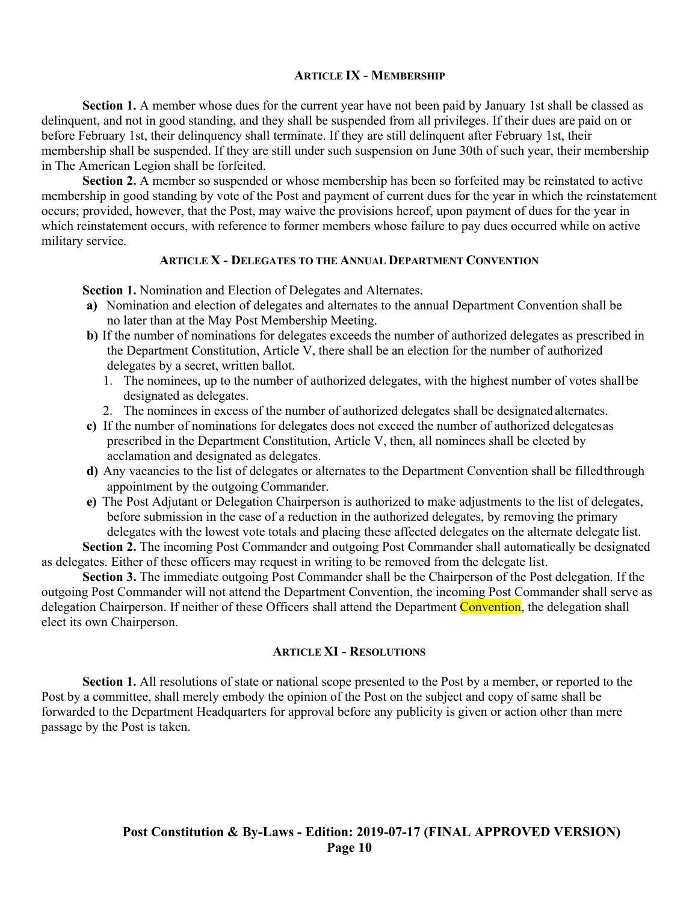#### **ARTICLE IX - MEMBERSHIP**

**Section 1.** A member whose dues for the current year have not been paid by January 1st shall be classed as delinquent, and not in good standing, and they shall be suspended from all privileges. If their dues are paid on or before February 1st, their delinquency shall terminate. If they are still delinquent after February 1st, their membership shall be suspended. If they are still under such suspension on June 30th of such year, their membership in The American Legion shall be forfeited.

**Section 2.** A member so suspended or whose membership has been so forfeited may be reinstated to active membership in good standing by vote of the Post and payment of current dues for the year in which the reinstatement occurs; provided, however, that the Post, may waive the provisions hereof, upon payment of dues for the year in which reinstatement occurs, with reference to former members whose failure to pay dues occurred while on active military service.

### **ARTICLE X - DELEGATES TO THE ANNUAL DEPARTMENT CONVENTION**

**Section 1.** Nomination and Election of Delegates and Alternates.

- **a)** Nomination and election of delegates and alternates to the annual Department Convention shall be no later than at the May Post Membership Meeting.
- **b**) If the number of nominations for delegates exceeds the number of authorized delegates as prescribed in the Department Constitution, Article V, there shall be an election for the number of authorized delegates by a secret, written ballot.
	- 1. The nominees, up to the number of authorized delegates, with the highest number of votes shallbe designated as delegates.
	- 2. The nominees in excess of the number of authorized delegates shall be designated alternates.
- **c)** If the number of nominations for delegates does not exceed the number of authorized delegatesas prescribed in the Department Constitution, Article V, then, all nominees shall be elected by acclamation and designated as delegates.
- **d)** Any vacancies to the list of delegates or alternates to the Department Convention shall be filledthrough appointment by the outgoing Commander.
- **e)** The Post Adjutant or Delegation Chairperson is authorized to make adjustments to the list of delegates, before submission in the case of a reduction in the authorized delegates, by removing the primary delegates with the lowest vote totals and placing these affected delegates on the alternate delegate list.

**Section 2.** The incoming Post Commander and outgoing Post Commander shall automatically be designated as delegates. Either of these officers may request in writing to be removed from the delegate list.

**Section 3.** The immediate outgoing Post Commander shall be the Chairperson of the Post delegation. If the outgoing Post Commander will not attend the Department Convention, the incoming Post Commander shall serve as delegation Chairperson. If neither of these Officers shall attend the Department Convention, the delegation shall elect its own Chairperson.

### **ARTICLE XI - RESOLUTIONS**

**Section 1.** All resolutions of state or national scope presented to the Post by a member, or reported to the Post by a committee, shall merely embody the opinion of the Post on the subject and copy of same shall be forwarded to the Department Headquarters for approval before any publicity is given or action other than mere passage by the Post is taken.